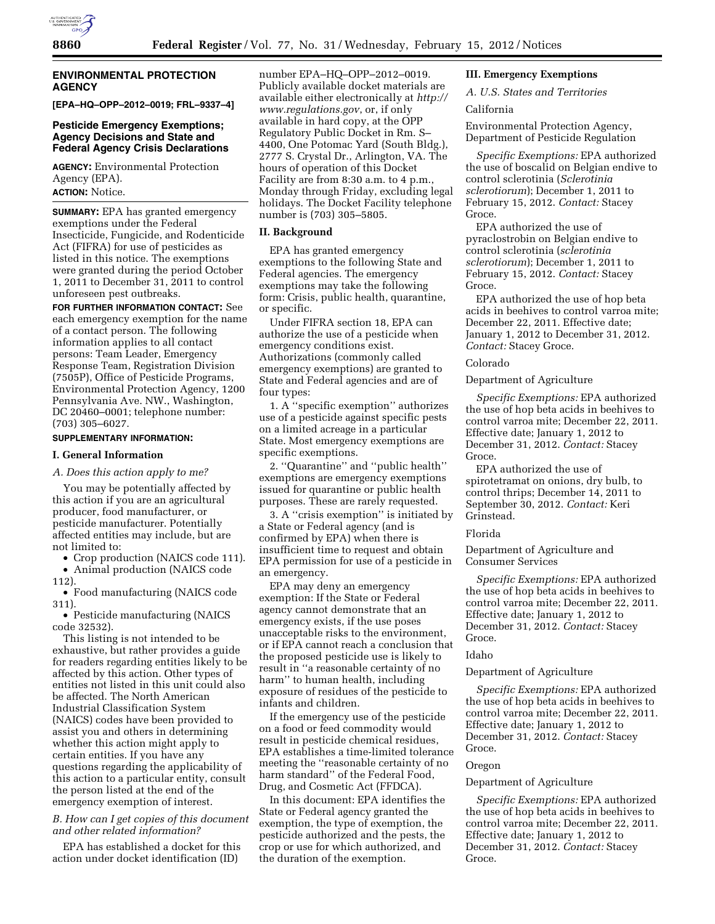

### **ENVIRONMENTAL PROTECTION AGENCY**

**[EPA–HQ–OPP–2012–0019; FRL–9337–4]** 

## **Pesticide Emergency Exemptions; Agency Decisions and State and Federal Agency Crisis Declarations**

**AGENCY:** Environmental Protection Agency (EPA). **ACTION:** Notice.

**SUMMARY:** EPA has granted emergency exemptions under the Federal Insecticide, Fungicide, and Rodenticide Act (FIFRA) for use of pesticides as listed in this notice. The exemptions were granted during the period October 1, 2011 to December 31, 2011 to control unforeseen pest outbreaks.

**FOR FURTHER INFORMATION CONTACT:** See each emergency exemption for the name of a contact person. The following information applies to all contact persons: Team Leader, Emergency Response Team, Registration Division (7505P), Office of Pesticide Programs, Environmental Protection Agency, 1200 Pennsylvania Ave. NW., Washington, DC 20460–0001; telephone number: (703) 305–6027.

### **SUPPLEMENTARY INFORMATION:**

#### **I. General Information**

*A. Does this action apply to me?* 

You may be potentially affected by this action if you are an agricultural producer, food manufacturer, or pesticide manufacturer. Potentially affected entities may include, but are not limited to:

• Crop production (NAICS code 111). • Animal production (NAICS code

112).

• Food manufacturing (NAICS code 311).

• Pesticide manufacturing (NAICS code 32532).

This listing is not intended to be exhaustive, but rather provides a guide for readers regarding entities likely to be affected by this action. Other types of entities not listed in this unit could also be affected. The North American Industrial Classification System (NAICS) codes have been provided to assist you and others in determining whether this action might apply to certain entities. If you have any questions regarding the applicability of this action to a particular entity, consult the person listed at the end of the emergency exemption of interest.

### *B. How can I get copies of this document and other related information?*

EPA has established a docket for this action under docket identification (ID)

number EPA–HQ–OPP–2012–0019. Publicly available docket materials are available either electronically at *[http://](http://www.regulations.gov) [www.regulations.gov](http://www.regulations.gov)*, or, if only available in hard copy, at the OPP Regulatory Public Docket in Rm. S– 4400, One Potomac Yard (South Bldg.), 2777 S. Crystal Dr., Arlington, VA. The hours of operation of this Docket Facility are from 8:30 a.m. to 4 p.m., Monday through Friday, excluding legal holidays. The Docket Facility telephone number is (703) 305–5805.

### **II. Background**

EPA has granted emergency exemptions to the following State and Federal agencies. The emergency exemptions may take the following form: Crisis, public health, quarantine, or specific.

Under FIFRA section 18, EPA can authorize the use of a pesticide when emergency conditions exist. Authorizations (commonly called emergency exemptions) are granted to State and Federal agencies and are of four types:

1. A ''specific exemption'' authorizes use of a pesticide against specific pests on a limited acreage in a particular State. Most emergency exemptions are specific exemptions.

2. ''Quarantine'' and ''public health'' exemptions are emergency exemptions issued for quarantine or public health purposes. These are rarely requested.

3. A ''crisis exemption'' is initiated by a State or Federal agency (and is confirmed by EPA) when there is insufficient time to request and obtain EPA permission for use of a pesticide in an emergency.

EPA may deny an emergency exemption: If the State or Federal agency cannot demonstrate that an emergency exists, if the use poses unacceptable risks to the environment, or if EPA cannot reach a conclusion that the proposed pesticide use is likely to result in ''a reasonable certainty of no harm'' to human health, including exposure of residues of the pesticide to infants and children.

If the emergency use of the pesticide on a food or feed commodity would result in pesticide chemical residues, EPA establishes a time-limited tolerance meeting the ''reasonable certainty of no harm standard'' of the Federal Food, Drug, and Cosmetic Act (FFDCA).

In this document: EPA identifies the State or Federal agency granted the exemption, the type of exemption, the pesticide authorized and the pests, the crop or use for which authorized, and the duration of the exemption.

### **III. Emergency Exemptions**

*A. U.S. States and Territories* 

# California

Environmental Protection Agency, Department of Pesticide Regulation

*Specific Exemptions:* EPA authorized the use of boscalid on Belgian endive to control sclerotinia (*Sclerotinia sclerotiorum*); December 1, 2011 to February 15, 2012. *Contact:* Stacey Groce.

EPA authorized the use of pyraclostrobin on Belgian endive to control sclerotinia (*sclerotinia sclerotiorum*); December 1, 2011 to February 15, 2012. *Contact:* Stacey Groce.

EPA authorized the use of hop beta acids in beehives to control varroa mite; December 22, 2011. Effective date; January 1, 2012 to December 31, 2012. *Contact:* Stacey Groce.

### Colorado

Department of Agriculture

*Specific Exemptions:* EPA authorized the use of hop beta acids in beehives to control varroa mite; December 22, 2011. Effective date; January 1, 2012 to December 31, 2012. *Contact:* Stacey Groce.

EPA authorized the use of spirotetramat on onions, dry bulb, to control thrips; December 14, 2011 to September 30, 2012. *Contact:* Keri Grinstead.

#### Florida

Department of Agriculture and Consumer Services

*Specific Exemptions:* EPA authorized the use of hop beta acids in beehives to control varroa mite; December 22, 2011. Effective date; January 1, 2012 to December 31, 2012. *Contact:* Stacey Groce.

## Idaho

### Department of Agriculture

*Specific Exemptions:* EPA authorized the use of hop beta acids in beehives to control varroa mite; December 22, 2011. Effective date; January 1, 2012 to December 31, 2012. *Contact:* Stacey Groce.

#### Oregon

#### Department of Agriculture

*Specific Exemptions:* EPA authorized the use of hop beta acids in beehives to control varroa mite; December 22, 2011. Effective date; January 1, 2012 to December 31, 2012. *Contact:* Stacey Groce.